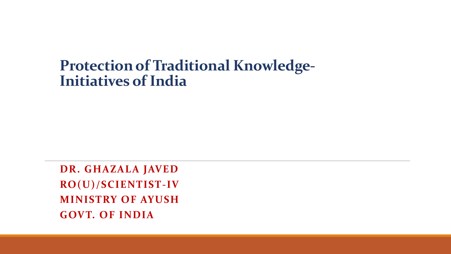#### **Protection of Traditional Knowledge-Initiatives of India**

**DR. GHAZALA JAVED RO(U)/SCIENTIST-IV MINISTRY OF AYUSH GOVT. OF INDIA**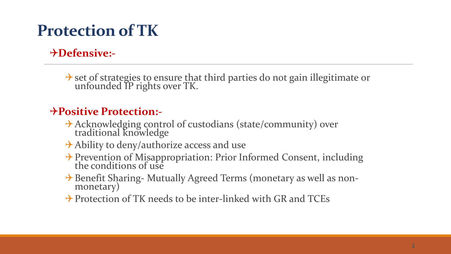## **Protection of TK**

#### **Defensive:-**

\*> set of strategies to ensure that third parties do not gain illegitimate or unfounded IP rights over TK.

#### **Positive Protection:-**

- Acknowledging control of custodians (state/community) over traditional knowledge
- $\rightarrow$  Ability to deny/authorize access and use
- → Prevention of Misappropriation: Prior Informed Consent, including the conditions of use
- → Benefit Sharing- Mutually Agreed Terms (monetary as well as nonmonetary)
- $\rightarrow$  Protection of TK needs to be inter-linked with GR and TCEs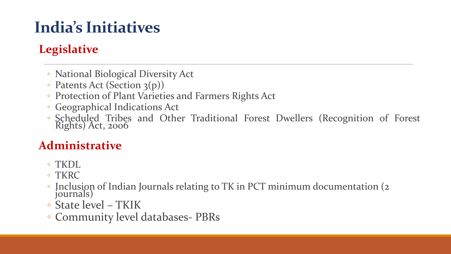## **India's Initiatives**

#### **Legislative**

- National Biological Diversity Act
- Patents Act (Section 3(p))
- Protection of Plant Varieties and Farmers Rights Act
- Geographical Indications Act
- Scheduled Tribes and Other Traditional Forest Dwellers (Recognition of Forest Rights) Act, <sup>2006</sup>

#### **Administrative**

- TKDL
- TKRC
- Inclusion of Indian Journals relating to TK in PCT minimum documentation (2 journals)
- State level TKIK
- Community level databases- PBRs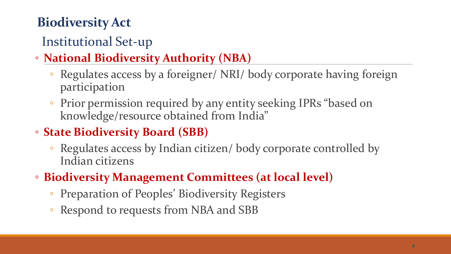### **Biodiversity Act**

### Institutional Set-up

- **National Biodiversity Authority (NBA)**
	- Regulates access by a foreigner/ NRI/ body corporate having foreign participation
	- Prior permission required by any entity seeking IPRs "based on knowledge/resource obtained from India"
- **State Biodiversity Board (SBB)**
	- Regulates access by Indian citizen/ body corporate controlled by Indian citizens
- **Biodiversity Management Committees (at local level)**
	- Preparation of Peoples' Biodiversity Registers
	- Respond to requests from NBA and SBB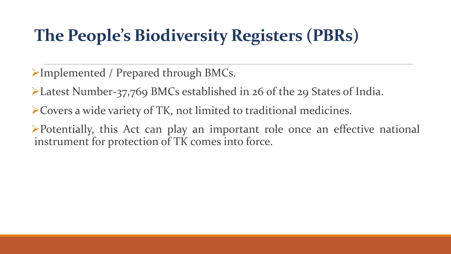## **The People's Biodiversity Registers (PBRs)**

Implemented / Prepared through BMCs.

Latest Number-37,769 BMCs established in 26 of the 29 States of India.

Covers a wide variety of TK, not limited to traditional medicines.

Potentially, this Act can play an important role once an effective national instrument for protection of TK comes into force.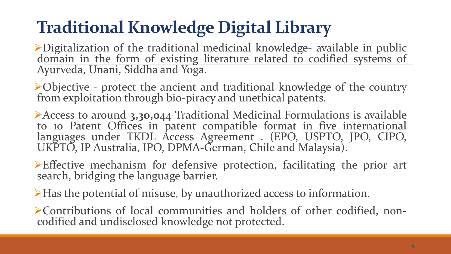# **Traditional Knowledge Digital Library**

Digitalization of the traditional medicinal knowledge- available in public domain in the form of existing literature related to codified systems of Ayurveda, Unani, Siddha and Yoga.

Objective - protect the ancient and traditional knowledge of the country from exploitation through bio-piracy and unethical patents.

Access to around **3,30,044** Traditional Medicinal Formulations is available to 10 Patent Offices in patent compatible format in five international languages under TKDL Access Agreement . (EPO, USPTO, JPO, CIPO, UKPTO, IP Australia, IPO, DPMA-German, Chile and Malaysia).

 $\triangleright$  Effective mechanism for defensive protection, facilitating the prior art search, bridging the language barrier.

Has the potential of misuse, by unauthorized access to information.

Contributions of local communities and holders of other codified, noncodified and undisclosed knowledge not protected.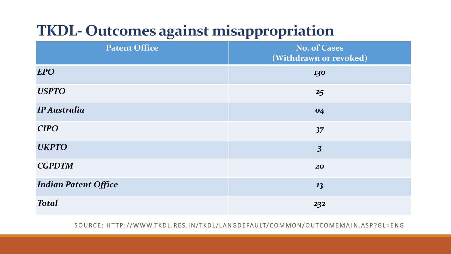### **TKDL- Outcomes against misappropriation**

| <b>Patent Office</b>        | <b>No. of Cases</b><br>(Withdrawn or revoked) |
|-----------------------------|-----------------------------------------------|
| <b>EPO</b>                  | 130                                           |
| <b>USPTO</b>                | 25                                            |
| <b>IP Australia</b>         | 04                                            |
| <b>CIPO</b>                 | 37                                            |
| <b>UKPTO</b>                | $\overline{\mathbf{3}}$                       |
| <b>CGPDTM</b>               | 20                                            |
| <b>Indian Patent Office</b> | 13                                            |
| <b>Total</b>                | 232                                           |

SOURCE: HTTP://WWW.TKDL.RES.IN/TKDL/LANGDEFAULT/COMMON/OUTCOMEMAIN.ASP?GL=ENG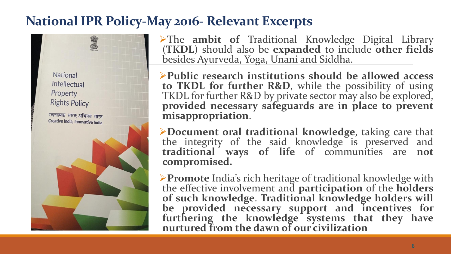#### **National IPR Policy-May 2016- Relevant Excerpts**

**National** Intellectual Property **Rights Policy** 



The **ambit of** Traditional Knowledge Digital Library (**TKDL**) should also be **expanded** to include **other fields** besides Ayurveda, Yoga, Unani and Siddha.

**Public research institutions should be allowed access to TKDL for further R&D**, while the possibility of using TKDL for further R&D by private sector may also be explored, **provided necessary safeguards are in place to prevent misappropriation**.

**Document oral traditional knowledge**, taking care that the integrity of the said knowledge is preserved and **traditional ways of life** of communities are **not compromised.**

**Promote** India's rich heritage of traditional knowledge with the effective involvement and **participation** of the **holders of such knowledge**. **Traditional knowledge holders will be provided necessary support and incentives for furthering the knowledge systems that they have nurtured from the dawn of our civilization**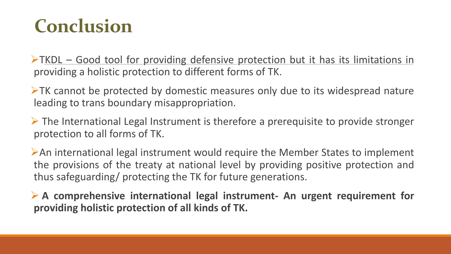# **Conclusion**

 $\triangleright$ TKDL – Good tool for providing defensive protection but it has its limitations in providing a holistic protection to different forms of TK.

 $\triangleright$ TK cannot be protected by domestic measures only due to its widespread nature leading to trans boundary misappropriation.

 $\triangleright$  The International Legal Instrument is therefore a prerequisite to provide stronger protection to all forms of TK.

An international legal instrument would require the Member States to implement the provisions of the treaty at national level by providing positive protection and thus safeguarding/ protecting the TK for future generations.

 **A comprehensive international legal instrument- An urgent requirement for providing holistic protection of all kinds of TK.**